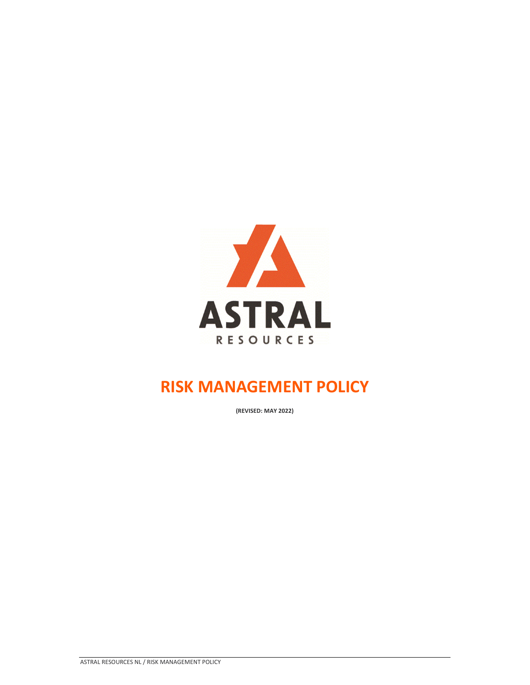

# **RISK MANAGEMENT POLICY**

**(REVISED: MAY 2022)**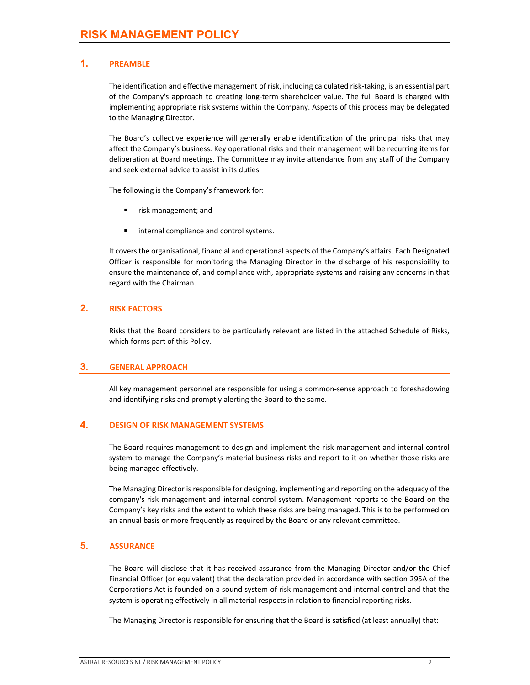#### **1. PREAMBLE**

The identification and effective management of risk, including calculated risk‐taking, is an essential part of the Company's approach to creating long‐term shareholder value. The full Board is charged with implementing appropriate risk systems within the Company. Aspects of this process may be delegated to the Managing Director.

The Board's collective experience will generally enable identification of the principal risks that may affect the Company's business. Key operational risks and their management will be recurring items for deliberation at Board meetings. The Committee may invite attendance from any staff of the Company and seek external advice to assist in its duties

The following is the Company's framework for:

- risk management; and
- internal compliance and control systems.

It covers the organisational, financial and operational aspects of the Company's affairs. Each Designated Officer is responsible for monitoring the Managing Director in the discharge of his responsibility to ensure the maintenance of, and compliance with, appropriate systems and raising any concerns in that regard with the Chairman.

## **2. RISK FACTORS**

Risks that the Board considers to be particularly relevant are listed in the attached Schedule of Risks, which forms part of this Policy.

#### **3. GENERAL APPROACH**

All key management personnel are responsible for using a common‐sense approach to foreshadowing and identifying risks and promptly alerting the Board to the same.

#### **4. DESIGN OF RISK MANAGEMENT SYSTEMS**

The Board requires management to design and implement the risk management and internal control system to manage the Company's material business risks and report to it on whether those risks are being managed effectively.

The Managing Director is responsible for designing, implementing and reporting on the adequacy of the company's risk management and internal control system. Management reports to the Board on the Company's key risks and the extent to which these risks are being managed. This is to be performed on an annual basis or more frequently as required by the Board or any relevant committee.

#### **5. ASSURANCE**

The Board will disclose that it has received assurance from the Managing Director and/or the Chief Financial Officer (or equivalent) that the declaration provided in accordance with section 295A of the Corporations Act is founded on a sound system of risk management and internal control and that the system is operating effectively in all material respects in relation to financial reporting risks.

The Managing Director is responsible for ensuring that the Board is satisfied (at least annually) that: